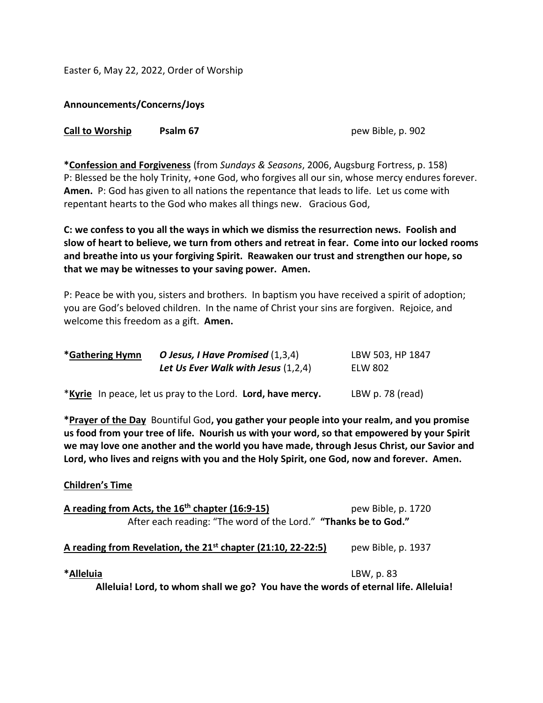Easter 6, May 22, 2022, Order of Worship

**Announcements/Concerns/Joys**

| <b>Call to Worship</b> | Psalm 67 |
|------------------------|----------|
|------------------------|----------|

**Call to Worship Psalm 67** pew Bible, p. 902

**\*Confession and Forgiveness** (from *Sundays & Seasons*, 2006, Augsburg Fortress, p. 158) P: Blessed be the holy Trinity, +one God, who forgives all our sin, whose mercy endures forever. **Amen.** P: God has given to all nations the repentance that leads to life. Let us come with repentant hearts to the God who makes all things new. Gracious God,

**C: we confess to you all the ways in which we dismiss the resurrection news. Foolish and slow of heart to believe, we turn from others and retreat in fear. Come into our locked rooms and breathe into us your forgiving Spirit. Reawaken our trust and strengthen our hope, so that we may be witnesses to your saving power. Amen.**

P: Peace be with you, sisters and brothers. In baptism you have received a spirit of adoption; you are God's beloved children. In the name of Christ your sins are forgiven. Rejoice, and welcome this freedom as a gift. **Amen.**

| *Gathering Hymn | O Jesus, I Have Promised (1,3,4)      | LBW 503, HP 1847 |
|-----------------|---------------------------------------|------------------|
|                 | Let Us Ever Walk with Jesus $(1,2,4)$ | ELW 802          |
|                 |                                       |                  |

\***Kyrie** In peace, let us pray to the Lord. **Lord, have mercy.** LBW p. 78 (read)

**\*Prayer of the Day** Bountiful God**, you gather your people into your realm, and you promise us food from your tree of life. Nourish us with your word, so that empowered by your Spirit we may love one another and the world you have made, through Jesus Christ, our Savior and Lord, who lives and reigns with you and the Holy Spirit, one God, now and forever. Amen.**

## **Children's Time**

|                                                                 | A reading from Acts, the 16 <sup>th</sup> chapter (16:9-15)                        | pew Bible, p. 1720 |  |  |
|-----------------------------------------------------------------|------------------------------------------------------------------------------------|--------------------|--|--|
| After each reading: "The word of the Lord." "Thanks be to God." |                                                                                    |                    |  |  |
|                                                                 | A reading from Revelation, the 21 <sup>st</sup> chapter (21:10, 22-22:5)           | pew Bible, p. 1937 |  |  |
| *Alleluia                                                       |                                                                                    | LBW, p. 83         |  |  |
|                                                                 | Alleluia! Lord, to whom shall we go? You have the words of eternal life. Alleluia! |                    |  |  |